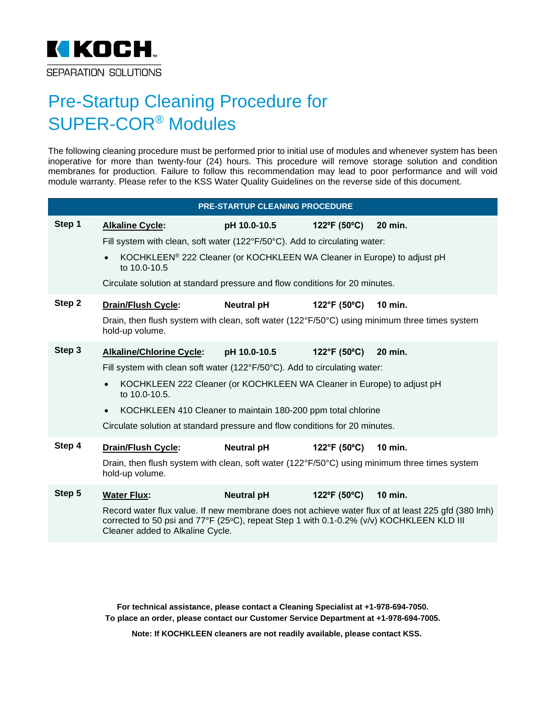

## Pre-Startup Cleaning Procedure for SUPER-COR® Modules

The following cleaning procedure must be performed prior to initial use of modules and whenever system has been inoperative for more than twenty-four (24) hours. This procedure will remove storage solution and condition membranes for production. Failure to follow this recommendation may lead to poor performance and will void module warranty. Please refer to the KSS Water Quality Guidelines on the reverse side of this document.

| <b>PRE-STARTUP CLEANING PROCEDURE</b> |                                                                                                                                                                                                                                    |                   |              |                |  |
|---------------------------------------|------------------------------------------------------------------------------------------------------------------------------------------------------------------------------------------------------------------------------------|-------------------|--------------|----------------|--|
| Step 1                                | <b>Alkaline Cycle:</b>                                                                                                                                                                                                             | pH 10.0-10.5      | 122°F (50°C) | 20 min.        |  |
|                                       | Fill system with clean, soft water (122°F/50°C). Add to circulating water:                                                                                                                                                         |                   |              |                |  |
|                                       | KOCHKLEEN® 222 Cleaner (or KOCHKLEEN WA Cleaner in Europe) to adjust pH<br>to 10.0-10.5                                                                                                                                            |                   |              |                |  |
|                                       | Circulate solution at standard pressure and flow conditions for 20 minutes.                                                                                                                                                        |                   |              |                |  |
| Step 2                                | <b>Drain/Flush Cycle:</b>                                                                                                                                                                                                          | <b>Neutral pH</b> | 122°F (50°C) | 10 min.        |  |
|                                       | Drain, then flush system with clean, soft water (122°F/50°C) using minimum three times system<br>hold-up volume.                                                                                                                   |                   |              |                |  |
| Step 3                                | <b>Alkaline/Chlorine Cycle:</b>                                                                                                                                                                                                    | pH 10.0-10.5      | 122°F (50°C) | 20 min.        |  |
|                                       | Fill system with clean soft water (122°F/50°C). Add to circulating water:                                                                                                                                                          |                   |              |                |  |
|                                       | KOCHKLEEN 222 Cleaner (or KOCHKLEEN WA Cleaner in Europe) to adjust pH<br>to 10.0-10.5.                                                                                                                                            |                   |              |                |  |
|                                       | KOCHKLEEN 410 Cleaner to maintain 180-200 ppm total chlorine<br>$\bullet$                                                                                                                                                          |                   |              |                |  |
|                                       | Circulate solution at standard pressure and flow conditions for 20 minutes.                                                                                                                                                        |                   |              |                |  |
| Step 4                                | <b>Drain/Flush Cycle:</b>                                                                                                                                                                                                          | <b>Neutral pH</b> | 122°F (50°C) | <b>10 min.</b> |  |
|                                       | Drain, then flush system with clean, soft water (122°F/50°C) using minimum three times system<br>hold-up volume.                                                                                                                   |                   |              |                |  |
| Step 5                                | <b>Water Flux:</b>                                                                                                                                                                                                                 | <b>Neutral pH</b> | 122°F (50°C) | <b>10 min.</b> |  |
|                                       | Record water flux value. If new membrane does not achieve water flux of at least 225 gfd (380 lmh)<br>corrected to 50 psi and 77°F (25°C), repeat Step 1 with 0.1-0.2% (v/v) KOCHKLEEN KLD III<br>Cleaner added to Alkaline Cycle. |                   |              |                |  |

**For technical assistance, please contact a Cleaning Specialist at +1-978-694-7050. To place an order, please contact our Customer Service Department at +1-978-694-7005.** 

**Note: If KOCHKLEEN cleaners are not readily available, please contact KSS.**